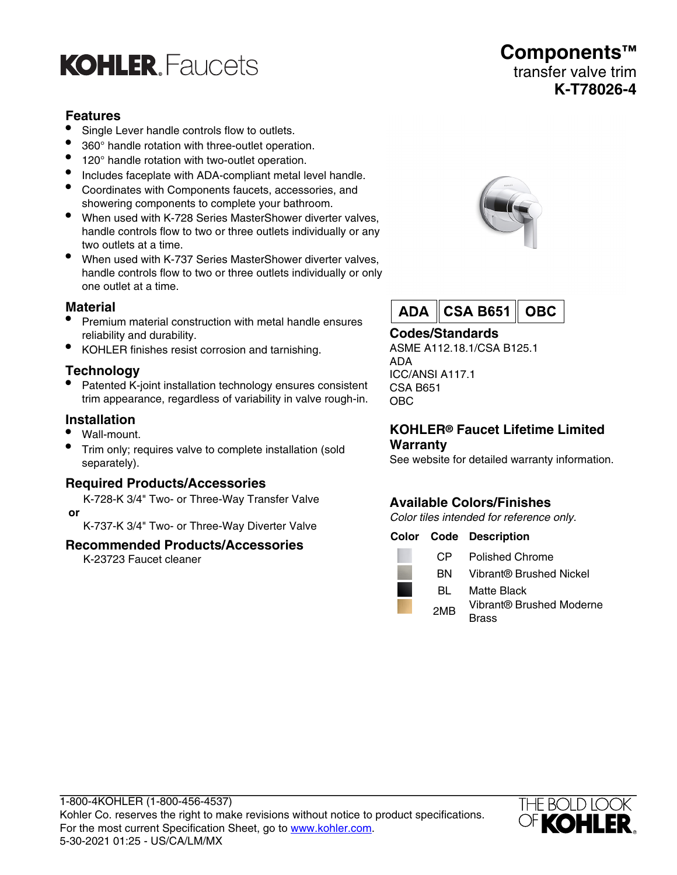# **KOHLER** Faucets

# **Features**

- Single Lever handle controls flow to outlets.
- 360° handle rotation with three-outlet operation.
- 120° handle rotation with two-outlet operation.
- Includes faceplate with ADA-compliant metal level handle.
- Coordinates with Components faucets, accessories, and showering components to complete your bathroom.
- When used with K-728 Series MasterShower diverter valves, handle controls flow to two or three outlets individually or any two outlets at a time.
- When used with K-737 Series MasterShower diverter valves, handle controls flow to two or three outlets individually or only one outlet at a time.

#### **Material**

- Premium material construction with metal handle ensures reliability and durability.
- KOHLER finishes resist corrosion and tarnishing.

# **Technology**

• Patented K-joint installation technology ensures consistent trim appearance, regardless of variability in valve rough-in.

#### **Installation**

- Wall-mount.
- Trim only; requires valve to complete installation (sold separately).

#### **Required Products/Accessories**

K-728-K 3/4" Two- or Three-Way Transfer Valve  **or**

K-737-K 3/4" Two- or Three-Way Diverter Valve

#### **Recommended Products/Accessories**

K-23723 Faucet cleaner





# **Codes/Standards**

ASME A112.18.1/CSA B125.1 ADA ICC/ANSI A117.1 CSA B651 OBC

#### **KOHLER® Faucet Lifetime Limited Warranty**

See website for detailed warranty information.

# **Available Colors/Finishes**

Color tiles intended for reference only.

|                 | <b>Color Code Description</b>            |
|-----------------|------------------------------------------|
| CP.             | Polished Chrome                          |
| ВN.             | Vibrant® Brushed Nickel                  |
| BL              | Matte Black                              |
| 2M <sub>R</sub> | Vibrant® Brushed Moderne<br><b>Brass</b> |



# **Components™** transfer valve trim **K-T78026-4**